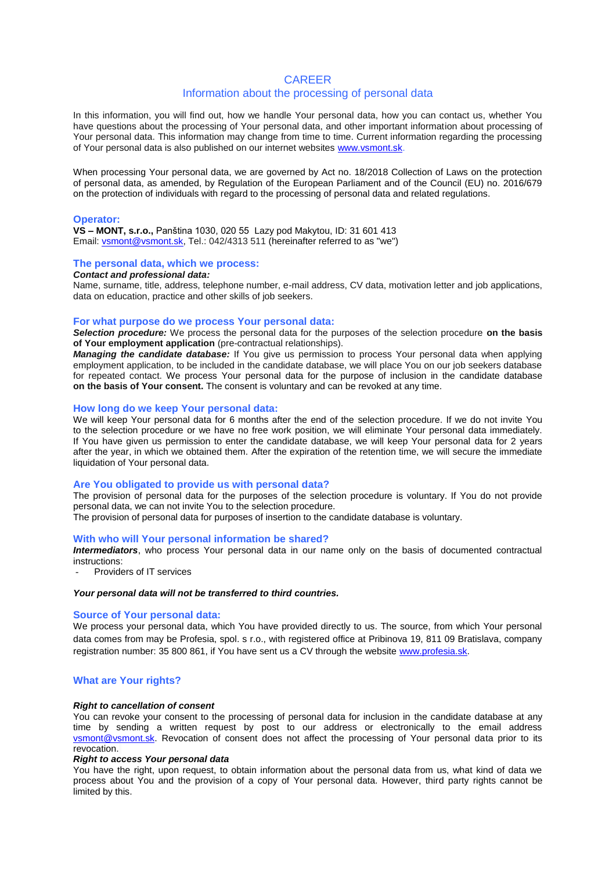# **CARFFR**

# Information about the processing of personal data

In this information, you will find out, how we handle Your personal data, how you can contact us, whether You have questions about the processing of Your personal data, and other important information about processing of Your personal data. This information may change from time to time. Current information regarding the processing of Your personal data is also published on our internet websites [www.vsmont.sk.](http://www.vsmont.sk/)

When processing Your personal data, we are governed by Act no. 18/2018 Collection of Laws on the protection of personal data, as amended, by Regulation of the European Parliament and of the Council (EU) no. 2016/679 on the protection of individuals with regard to the processing of personal data and related regulations.

#### **Operator:**

**VS – MONT, s.r.o.,** Panština 1030, 020 55 Lazy pod Makytou, ID: 31 601 413 Email: [vsmont@vsmont.sk,](mailto:vsmont@vsmont.sk) Tel.: 042/4313 511 (hereinafter referred to as "we")

### **The personal data, which we process:**

#### *Contact and professional data:*

Name, surname, title, address, telephone number, e-mail address, CV data, motivation letter and job applications, data on education, practice and other skills of job seekers.

### **For what purpose do we process Your personal data:**

*Selection procedure:* We process the personal data for the purposes of the selection procedure **on the basis of Your employment application** (pre-contractual relationships).

*Managing the candidate database:* If You give us permission to process Your personal data when applying employment application, to be included in the candidate database, we will place You on our job seekers database for repeated contact. We process Your personal data for the purpose of inclusion in the candidate database **on the basis of Your consent.** The consent is voluntary and can be revoked at any time.

#### **How long do we keep Your personal data:**

We will keep Your personal data for 6 months after the end of the selection procedure. If we do not invite You to the selection procedure or we have no free work position, we will eliminate Your personal data immediately. If You have given us permission to enter the candidate database, we will keep Your personal data for 2 years after the year, in which we obtained them. After the expiration of the retention time, we will secure the immediate liquidation of Your personal data.

# **Are You obligated to provide us with personal data?**

The provision of personal data for the purposes of the selection procedure is voluntary. If You do not provide personal data, we can not invite You to the selection procedure.

The provision of personal data for purposes of insertion to the candidate database is voluntary.

#### **With who will Your personal information be shared?**

*Intermediators*, who process Your personal data in our name only on the basis of documented contractual instructions:

Providers of IT services

# *Your personal data will not be transferred to third countries.*

# **Source of Your personal data:**

We process your personal data, which You have provided directly to us. The source, from which Your personal data comes from may be Profesia, spol. s r.o., with registered office at Pribinova 19, 811 09 Bratislava, company registration number: 35 800 861, if You have sent us a CV through the website [www.profesia.sk.](http://www.profesia.sk/)

### **What are Your rights?**

### *Right to cancellation of consent*

You can revoke your consent to the processing of personal data for inclusion in the candidate database at any time by sending a written request by post to our address or electronically to the email address [vsmont@vsmont.sk.](mailto:vsmont@vsmont.sk) Revocation of consent does not affect the processing of Your personal data prior to its revocation.

#### *Right to access Your personal data*

You have the right, upon request, to obtain information about the personal data from us, what kind of data we process about You and the provision of a copy of Your personal data. However, third party rights cannot be limited by this.